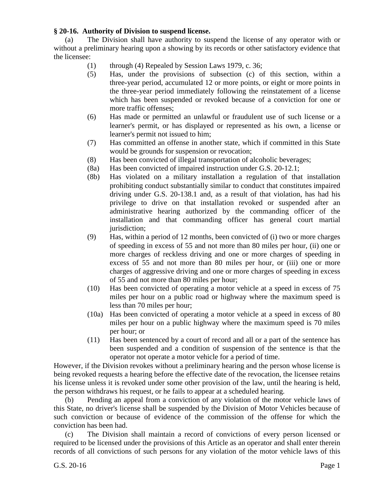## **§ 20-16. Authority of Division to suspend license.**

(a) The Division shall have authority to suspend the license of any operator with or without a preliminary hearing upon a showing by its records or other satisfactory evidence that the licensee:

- (1) through (4) Repealed by Session Laws 1979, c. 36;
- (5) Has, under the provisions of subsection (c) of this section, within a three-year period, accumulated 12 or more points, or eight or more points in the three-year period immediately following the reinstatement of a license which has been suspended or revoked because of a conviction for one or more traffic offenses;
- (6) Has made or permitted an unlawful or fraudulent use of such license or a learner's permit, or has displayed or represented as his own, a license or learner's permit not issued to him;
- (7) Has committed an offense in another state, which if committed in this State would be grounds for suspension or revocation;
- (8) Has been convicted of illegal transportation of alcoholic beverages;
- (8a) Has been convicted of impaired instruction under G.S. 20-12.1;
- (8b) Has violated on a military installation a regulation of that installation prohibiting conduct substantially similar to conduct that constitutes impaired driving under G.S. 20-138.1 and, as a result of that violation, has had his privilege to drive on that installation revoked or suspended after an administrative hearing authorized by the commanding officer of the installation and that commanding officer has general court martial jurisdiction;
- (9) Has, within a period of 12 months, been convicted of (i) two or more charges of speeding in excess of 55 and not more than 80 miles per hour, (ii) one or more charges of reckless driving and one or more charges of speeding in excess of 55 and not more than 80 miles per hour, or (iii) one or more charges of aggressive driving and one or more charges of speeding in excess of 55 and not more than 80 miles per hour;
- (10) Has been convicted of operating a motor vehicle at a speed in excess of 75 miles per hour on a public road or highway where the maximum speed is less than 70 miles per hour;
- (10a) Has been convicted of operating a motor vehicle at a speed in excess of 80 miles per hour on a public highway where the maximum speed is 70 miles per hour; or
- (11) Has been sentenced by a court of record and all or a part of the sentence has been suspended and a condition of suspension of the sentence is that the operator not operate a motor vehicle for a period of time.

However, if the Division revokes without a preliminary hearing and the person whose license is being revoked requests a hearing before the effective date of the revocation, the licensee retains his license unless it is revoked under some other provision of the law, until the hearing is held, the person withdraws his request, or he fails to appear at a scheduled hearing.

(b) Pending an appeal from a conviction of any violation of the motor vehicle laws of this State, no driver's license shall be suspended by the Division of Motor Vehicles because of such conviction or because of evidence of the commission of the offense for which the conviction has been had.

(c) The Division shall maintain a record of convictions of every person licensed or required to be licensed under the provisions of this Article as an operator and shall enter therein records of all convictions of such persons for any violation of the motor vehicle laws of this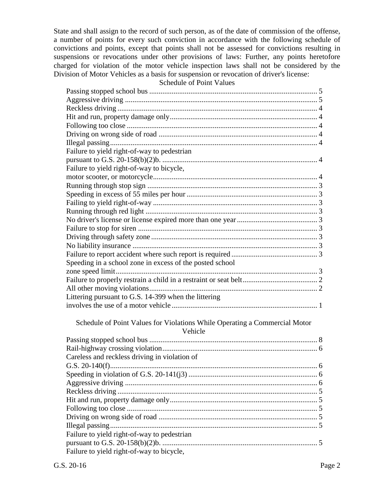State and shall assign to the record of such person, as of the date of commission of the offense, a number of points for every such conviction in accordance with the following schedule of convictions and points, except that points shall not be assessed for convictions resulting in suspensions or revocations under other provisions of laws: Further, any points heretofore charged for violation of the motor vehicle inspection laws shall not be considered by the Division of Motor Vehicles as a basis for suspension or revocation of driver's license:

## Schedule of Point Values

| Failure to yield right-of-way to pedestrian                                           |
|---------------------------------------------------------------------------------------|
|                                                                                       |
| Failure to yield right-of-way to bicycle,                                             |
|                                                                                       |
|                                                                                       |
|                                                                                       |
|                                                                                       |
|                                                                                       |
|                                                                                       |
|                                                                                       |
|                                                                                       |
|                                                                                       |
|                                                                                       |
| Speeding in a school zone in excess of the posted school                              |
|                                                                                       |
|                                                                                       |
|                                                                                       |
| Littering pursuant to G.S. 14-399 when the littering                                  |
|                                                                                       |
| Schedule of Point Values for Violations While Operating a Commercial Motor<br>Vehicle |
|                                                                                       |
|                                                                                       |
| Careless and reckless driving in violation of                                         |
|                                                                                       |
|                                                                                       |
|                                                                                       |
|                                                                                       |
|                                                                                       |
|                                                                                       |
|                                                                                       |
|                                                                                       |
| Failure to yield right-of-way to pedestrian                                           |
|                                                                                       |
| Failure to yield right-of-way to bicycle,                                             |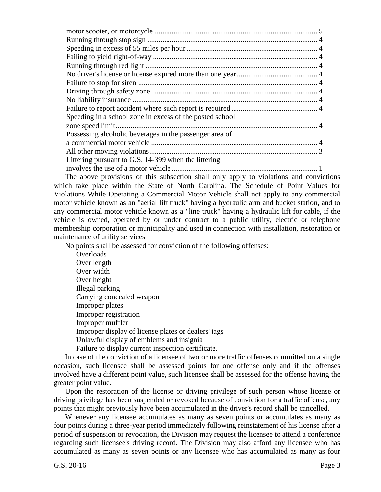The above provisions of this subsection shall only apply to violations and convictions which take place within the State of North Carolina. The Schedule of Point Values for Violations While Operating a Commercial Motor Vehicle shall not apply to any commercial motor vehicle known as an "aerial lift truck" having a hydraulic arm and bucket station, and to any commercial motor vehicle known as a "line truck" having a hydraulic lift for cable, if the vehicle is owned, operated by or under contract to a public utility, electric or telephone membership corporation or municipality and used in connection with installation, restoration or maintenance of utility services.

No points shall be assessed for conviction of the following offenses:

**Overloads** Over length Over width Over height Illegal parking Carrying concealed weapon Improper plates Improper registration Improper muffler Improper display of license plates or dealers' tags Unlawful display of emblems and insignia Failure to display current inspection certificate.

In case of the conviction of a licensee of two or more traffic offenses committed on a single occasion, such licensee shall be assessed points for one offense only and if the offenses involved have a different point value, such licensee shall be assessed for the offense having the greater point value.

Upon the restoration of the license or driving privilege of such person whose license or driving privilege has been suspended or revoked because of conviction for a traffic offense, any points that might previously have been accumulated in the driver's record shall be cancelled.

Whenever any licensee accumulates as many as seven points or accumulates as many as four points during a three-year period immediately following reinstatement of his license after a period of suspension or revocation, the Division may request the licensee to attend a conference regarding such licensee's driving record. The Division may also afford any licensee who has accumulated as many as seven points or any licensee who has accumulated as many as four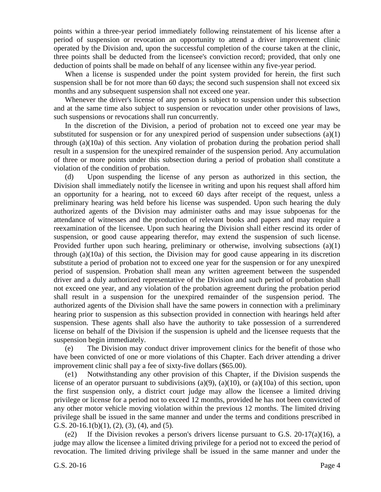points within a three-year period immediately following reinstatement of his license after a period of suspension or revocation an opportunity to attend a driver improvement clinic operated by the Division and, upon the successful completion of the course taken at the clinic, three points shall be deducted from the licensee's conviction record; provided, that only one deduction of points shall be made on behalf of any licensee within any five-year period.

When a license is suspended under the point system provided for herein, the first such suspension shall be for not more than 60 days; the second such suspension shall not exceed six months and any subsequent suspension shall not exceed one year.

Whenever the driver's license of any person is subject to suspension under this subsection and at the same time also subject to suspension or revocation under other provisions of laws, such suspensions or revocations shall run concurrently.

In the discretion of the Division, a period of probation not to exceed one year may be substituted for suspension or for any unexpired period of suspension under subsections (a)(1) through (a)(10a) of this section. Any violation of probation during the probation period shall result in a suspension for the unexpired remainder of the suspension period. Any accumulation of three or more points under this subsection during a period of probation shall constitute a violation of the condition of probation.

(d) Upon suspending the license of any person as authorized in this section, the Division shall immediately notify the licensee in writing and upon his request shall afford him an opportunity for a hearing, not to exceed 60 days after receipt of the request, unless a preliminary hearing was held before his license was suspended. Upon such hearing the duly authorized agents of the Division may administer oaths and may issue subpoenas for the attendance of witnesses and the production of relevant books and papers and may require a reexamination of the licensee. Upon such hearing the Division shall either rescind its order of suspension, or good cause appearing therefor, may extend the suspension of such license. Provided further upon such hearing, preliminary or otherwise, involving subsections (a)(1) through (a)(10a) of this section, the Division may for good cause appearing in its discretion substitute a period of probation not to exceed one year for the suspension or for any unexpired period of suspension. Probation shall mean any written agreement between the suspended driver and a duly authorized representative of the Division and such period of probation shall not exceed one year, and any violation of the probation agreement during the probation period shall result in a suspension for the unexpired remainder of the suspension period. The authorized agents of the Division shall have the same powers in connection with a preliminary hearing prior to suspension as this subsection provided in connection with hearings held after suspension. These agents shall also have the authority to take possession of a surrendered license on behalf of the Division if the suspension is upheld and the licensee requests that the suspension begin immediately.

(e) The Division may conduct driver improvement clinics for the benefit of those who have been convicted of one or more violations of this Chapter. Each driver attending a driver improvement clinic shall pay a fee of sixty-five dollars (\$65.00).

(e1) Notwithstanding any other provision of this Chapter, if the Division suspends the license of an operator pursuant to subdivisions (a)(9), (a)(10), or (a)(10a) of this section, upon the first suspension only, a district court judge may allow the licensee a limited driving privilege or license for a period not to exceed 12 months, provided he has not been convicted of any other motor vehicle moving violation within the previous 12 months. The limited driving privilege shall be issued in the same manner and under the terms and conditions prescribed in G.S. 20-16.1(b)(1), (2), (3), (4), and (5).

(e2) If the Division revokes a person's drivers license pursuant to G.S. 20-17(a)(16), a judge may allow the licensee a limited driving privilege for a period not to exceed the period of revocation. The limited driving privilege shall be issued in the same manner and under the